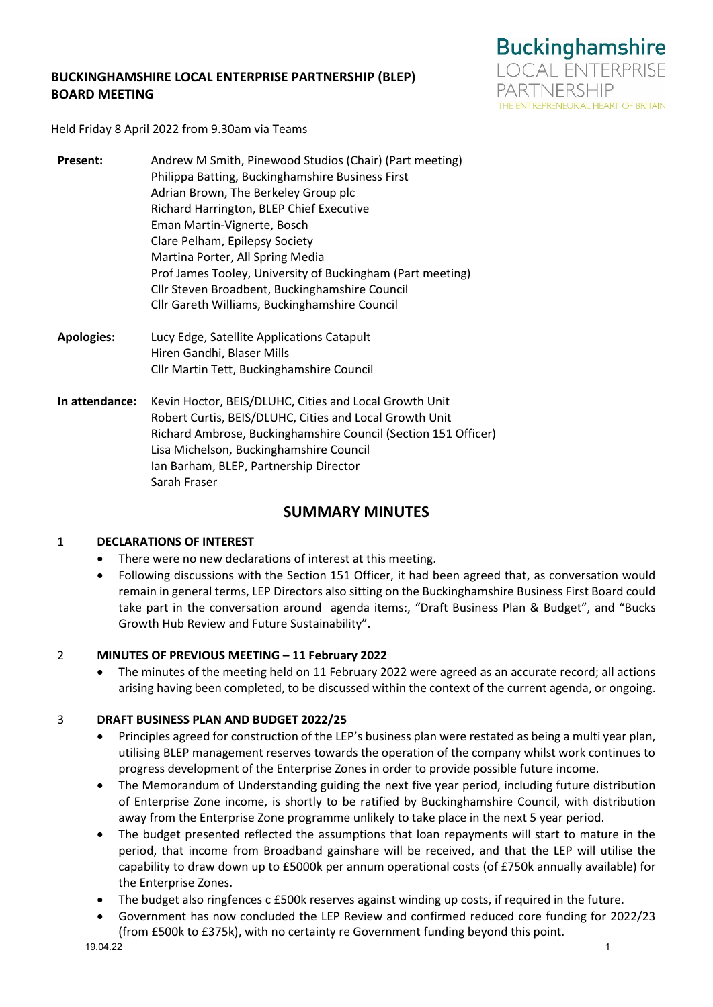# **BUCKINGHAMSHIRE LOCAL ENTERPRISE PARTNERSHIP (BLEP) BOARD MEETING**



Held Friday 8 April 2022 from 9.30am via Teams

- **Present:** Andrew M Smith, Pinewood Studios (Chair) (Part meeting) Philippa Batting, Buckinghamshire Business First Adrian Brown, The Berkeley Group plc Richard Harrington, BLEP Chief Executive Eman Martin-Vignerte, Bosch Clare Pelham, Epilepsy Society Martina Porter, All Spring Media Prof James Tooley, University of Buckingham (Part meeting) Cllr Steven Broadbent, Buckinghamshire Council Cllr Gareth Williams, Buckinghamshire Council
- **Apologies:** Lucy Edge, Satellite Applications Catapult Hiren Gandhi, Blaser Mills Cllr Martin Tett, Buckinghamshire Council
- **In attendance:** Kevin Hoctor, BEIS/DLUHC, Cities and Local Growth Unit Robert Curtis, BEIS/DLUHC, Cities and Local Growth Unit Richard Ambrose, Buckinghamshire Council (Section 151 Officer) Lisa Michelson, Buckinghamshire Council Ian Barham, BLEP, Partnership Director Sarah Fraser

# **SUMMARY MINUTES**

# 1 **DECLARATIONS OF INTEREST**

- There were no new declarations of interest at this meeting.
- Following discussions with the Section 151 Officer, it had been agreed that, as conversation would remain in general terms, LEP Directors also sitting on the Buckinghamshire Business First Board could take part in the conversation around agenda items:, "Draft Business Plan & Budget", and "Bucks Growth Hub Review and Future Sustainability".

## 2 **MINUTES OF PREVIOUS MEETING – 11 February 2022**

The minutes of the meeting held on 11 February 2022 were agreed as an accurate record; all actions arising having been completed, to be discussed within the context of the current agenda, or ongoing.

# 3 **DRAFT BUSINESS PLAN AND BUDGET 2022/25**

- Principles agreed for construction of the LEP's business plan were restated as being a multi year plan, utilising BLEP management reserves towards the operation of the company whilst work continues to progress development of the Enterprise Zones in order to provide possible future income.
- The Memorandum of Understanding guiding the next five year period, including future distribution of Enterprise Zone income, is shortly to be ratified by Buckinghamshire Council, with distribution away from the Enterprise Zone programme unlikely to take place in the next 5 year period.
- The budget presented reflected the assumptions that loan repayments will start to mature in the period, that income from Broadband gainshare will be received, and that the LEP will utilise the capability to draw down up to £5000k per annum operational costs (of £750k annually available) for the Enterprise Zones.
- The budget also ringfences c £500k reserves against winding up costs, if required in the future.
- Government has now concluded the LEP Review and confirmed reduced core funding for 2022/23 (from £500k to £375k), with no certainty re Government funding beyond this point.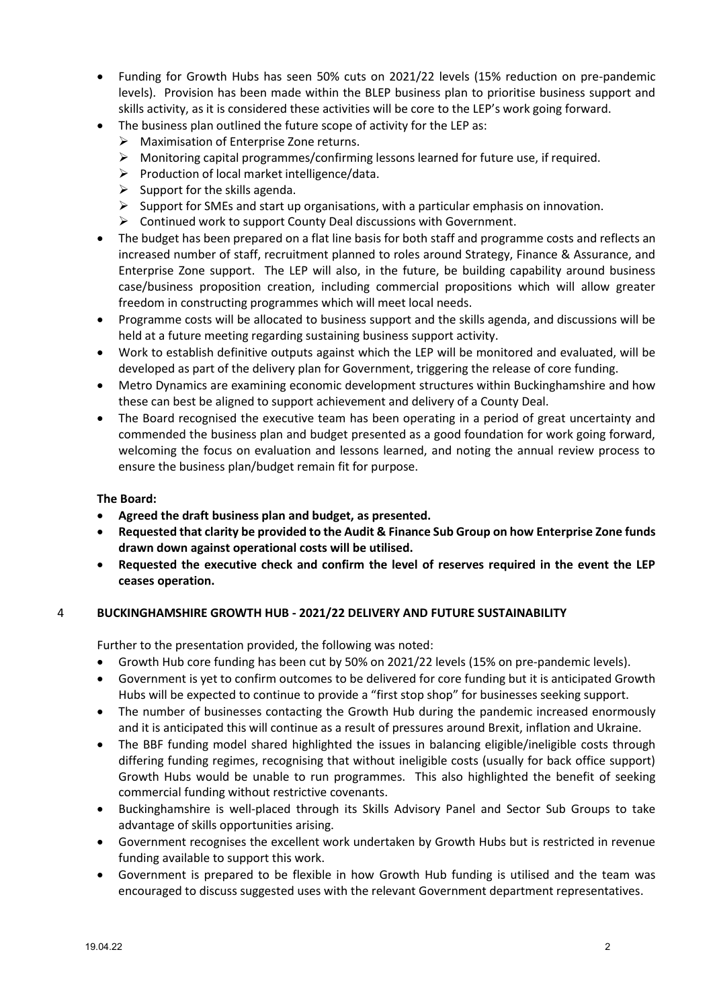- Funding for Growth Hubs has seen 50% cuts on 2021/22 levels (15% reduction on pre-pandemic levels). Provision has been made within the BLEP business plan to prioritise business support and skills activity, as it is considered these activities will be core to the LEP's work going forward.
	- The business plan outlined the future scope of activity for the LEP as:
		- ➢ Maximisation of Enterprise Zone returns.
		- $\triangleright$  Monitoring capital programmes/confirming lessons learned for future use, if required.
		- $\triangleright$  Production of local market intelligence/data.
		- $\triangleright$  Support for the skills agenda.
		- $\triangleright$  Support for SMEs and start up organisations, with a particular emphasis on innovation.
		- ➢ Continued work to support County Deal discussions with Government.
- The budget has been prepared on a flat line basis for both staff and programme costs and reflects an increased number of staff, recruitment planned to roles around Strategy, Finance & Assurance, and Enterprise Zone support. The LEP will also, in the future, be building capability around business case/business proposition creation, including commercial propositions which will allow greater freedom in constructing programmes which will meet local needs.
- Programme costs will be allocated to business support and the skills agenda, and discussions will be held at a future meeting regarding sustaining business support activity.
- Work to establish definitive outputs against which the LEP will be monitored and evaluated, will be developed as part of the delivery plan for Government, triggering the release of core funding.
- Metro Dynamics are examining economic development structures within Buckinghamshire and how these can best be aligned to support achievement and delivery of a County Deal.
- The Board recognised the executive team has been operating in a period of great uncertainty and commended the business plan and budget presented as a good foundation for work going forward, welcoming the focus on evaluation and lessons learned, and noting the annual review process to ensure the business plan/budget remain fit for purpose.

### **The Board:**

- **Agreed the draft business plan and budget, as presented.**
- **Requested that clarity be provided to the Audit & Finance Sub Group on how Enterprise Zone funds drawn down against operational costs will be utilised.**
- **Requested the executive check and confirm the level of reserves required in the event the LEP ceases operation.**

## 4 **BUCKINGHAMSHIRE GROWTH HUB - 2021/22 DELIVERY AND FUTURE SUSTAINABILITY**

Further to the presentation provided, the following was noted:

- Growth Hub core funding has been cut by 50% on 2021/22 levels (15% on pre-pandemic levels).
- Government is yet to confirm outcomes to be delivered for core funding but it is anticipated Growth Hubs will be expected to continue to provide a "first stop shop" for businesses seeking support.
- The number of businesses contacting the Growth Hub during the pandemic increased enormously and it is anticipated this will continue as a result of pressures around Brexit, inflation and Ukraine.
- The BBF funding model shared highlighted the issues in balancing eligible/ineligible costs through differing funding regimes, recognising that without ineligible costs (usually for back office support) Growth Hubs would be unable to run programmes. This also highlighted the benefit of seeking commercial funding without restrictive covenants.
- Buckinghamshire is well-placed through its Skills Advisory Panel and Sector Sub Groups to take advantage of skills opportunities arising.
- Government recognises the excellent work undertaken by Growth Hubs but is restricted in revenue funding available to support this work.
- Government is prepared to be flexible in how Growth Hub funding is utilised and the team was encouraged to discuss suggested uses with the relevant Government department representatives.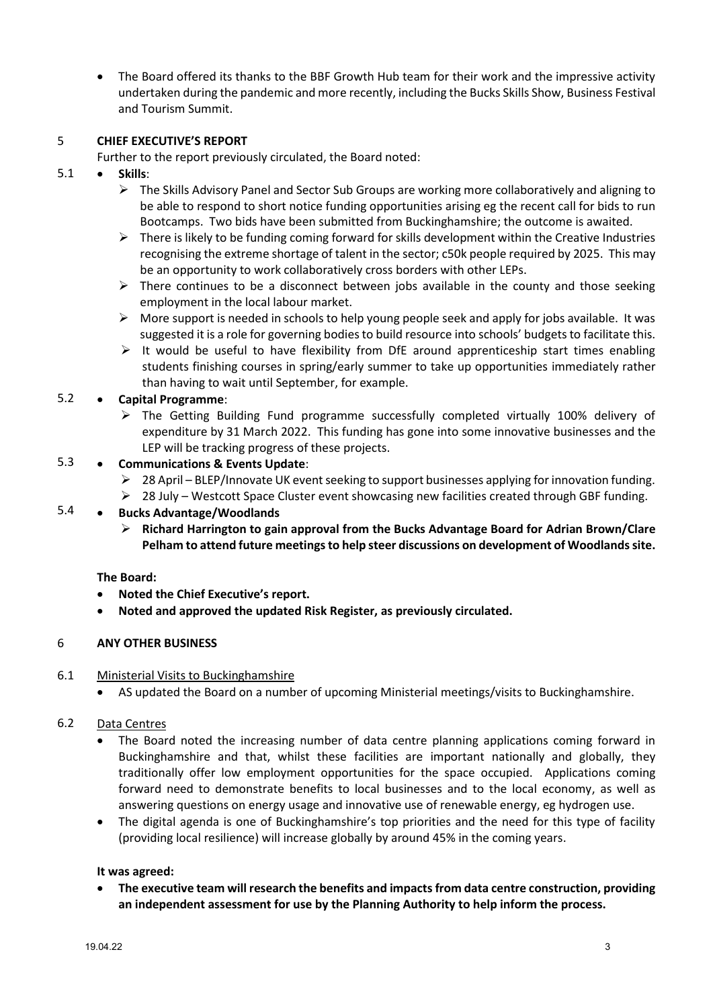• The Board offered its thanks to the BBF Growth Hub team for their work and the impressive activity undertaken during the pandemic and more recently, including the Bucks Skills Show, Business Festival and Tourism Summit.

### 5 **CHIEF EXECUTIVE'S REPORT**

Further to the report previously circulated, the Board noted:

- 5.1 • **Skills**:
	- ➢ The Skills Advisory Panel and Sector Sub Groups are working more collaboratively and aligning to be able to respond to short notice funding opportunities arising eg the recent call for bids to run Bootcamps. Two bids have been submitted from Buckinghamshire; the outcome is awaited.
	- $\triangleright$  There is likely to be funding coming forward for skills development within the Creative Industries recognising the extreme shortage of talent in the sector; c50k people required by 2025. This may be an opportunity to work collaboratively cross borders with other LEPs.
	- $\triangleright$  There continues to be a disconnect between jobs available in the county and those seeking employment in the local labour market.
	- $\triangleright$  More support is needed in schools to help young people seek and apply for jobs available. It was suggested it is a role for governing bodies to build resource into schools' budgets to facilitate this.
	- $\triangleright$  It would be useful to have flexibility from DfE around apprenticeship start times enabling students finishing courses in spring/early summer to take up opportunities immediately rather than having to wait until September, for example.

### 5.2 • **Capital Programme**:

 $\triangleright$  The Getting Building Fund programme successfully completed virtually 100% delivery of expenditure by 31 March 2022. This funding has gone into some innovative businesses and the LEP will be tracking progress of these projects.

### 5.3 • **Communications & Events Update**:

- $\geq 28$  April BLEP/Innovate UK event seeking to support businesses applying for innovation funding.
- $\geq 28$  July Westcott Space Cluster event showcasing new facilities created through GBF funding.

### 5.4 • **Bucks Advantage/Woodlands**

➢ **Richard Harrington to gain approval from the Bucks Advantage Board for Adrian Brown/Clare Pelham to attend future meetings to help steer discussions on development of Woodlands site.**

## **The Board:**

- **Noted the Chief Executive's report.**
- **Noted and approved the updated Risk Register, as previously circulated.**

#### 6 **ANY OTHER BUSINESS**

#### 6.1 Ministerial Visits to Buckinghamshire

• AS updated the Board on a number of upcoming Ministerial meetings/visits to Buckinghamshire.

#### 6.2 Data Centres

- The Board noted the increasing number of data centre planning applications coming forward in Buckinghamshire and that, whilst these facilities are important nationally and globally, they traditionally offer low employment opportunities for the space occupied. Applications coming forward need to demonstrate benefits to local businesses and to the local economy, as well as answering questions on energy usage and innovative use of renewable energy, eg hydrogen use.
- The digital agenda is one of Buckinghamshire's top priorities and the need for this type of facility (providing local resilience) will increase globally by around 45% in the coming years.

## **It was agreed:**

• **The executive team will research the benefits and impacts from data centre construction, providing an independent assessment for use by the Planning Authority to help inform the process.**